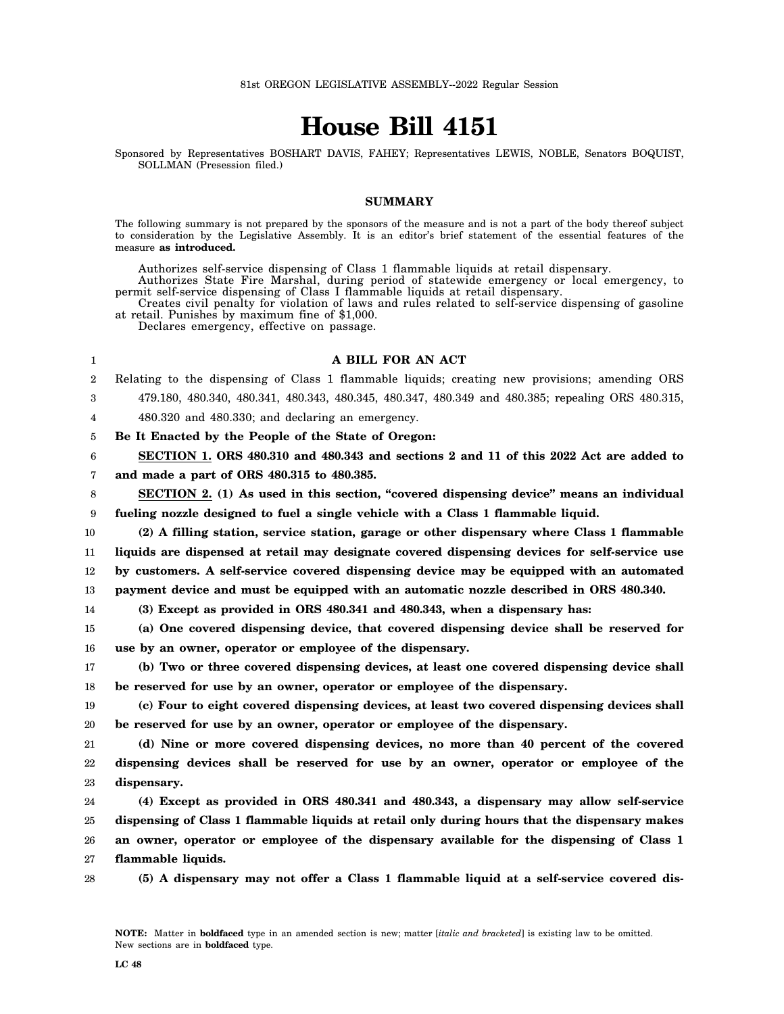# **House Bill 4151**

Sponsored by Representatives BOSHART DAVIS, FAHEY; Representatives LEWIS, NOBLE, Senators BOQUIST, SOLLMAN (Presession filed.)

## **SUMMARY**

The following summary is not prepared by the sponsors of the measure and is not a part of the body thereof subject to consideration by the Legislative Assembly. It is an editor's brief statement of the essential features of the measure **as introduced.**

Authorizes self-service dispensing of Class 1 flammable liquids at retail dispensary.

Authorizes State Fire Marshal, during period of statewide emergency or local emergency, to permit self-service dispensing of Class I flammable liquids at retail dispensary.

Creates civil penalty for violation of laws and rules related to self-service dispensing of gasoline at retail. Punishes by maximum fine of \$1,000.

Declares emergency, effective on passage.

| 1                | A BILL FOR AN ACT                                                                                 |
|------------------|---------------------------------------------------------------------------------------------------|
| $\boldsymbol{2}$ | Relating to the dispensing of Class 1 flammable liquids; creating new provisions; amending ORS    |
| 3                | 479.180, 480.340, 480.341, 480.343, 480.345, 480.347, 480.349 and 480.385; repealing ORS 480.315, |
| 4                | 480.320 and 480.330; and declaring an emergency.                                                  |
| 5                | Be It Enacted by the People of the State of Oregon:                                               |
| 6                | SECTION 1. ORS 480.310 and 480.343 and sections 2 and 11 of this 2022 Act are added to            |
| 7                | and made a part of ORS 480.315 to 480.385.                                                        |
| 8                | SECTION 2. (1) As used in this section, "covered dispensing device" means an individual           |
| 9                | fueling nozzle designed to fuel a single vehicle with a Class 1 flammable liquid.                 |
| 10               | (2) A filling station, service station, garage or other dispensary where Class 1 flammable        |
| 11               | liquids are dispensed at retail may designate covered dispensing devices for self-service use     |
| 12               | by customers. A self-service covered dispensing device may be equipped with an automated          |
| 13               | payment device and must be equipped with an automatic nozzle described in ORS 480.340.            |
| 14               | (3) Except as provided in ORS 480.341 and 480.343, when a dispensary has:                         |
| 15               | (a) One covered dispensing device, that covered dispensing device shall be reserved for           |
| 16               | use by an owner, operator or employee of the dispensary.                                          |
| 17               | (b) Two or three covered dispensing devices, at least one covered dispensing device shall         |
| 18               | be reserved for use by an owner, operator or employee of the dispensary.                          |
| 19               | (c) Four to eight covered dispensing devices, at least two covered dispensing devices shall       |
| 20               | be reserved for use by an owner, operator or employee of the dispensary.                          |
| 21               | (d) Nine or more covered dispensing devices, no more than 40 percent of the covered               |
| 22               | dispensing devices shall be reserved for use by an owner, operator or employee of the             |
| 23               | dispensary.                                                                                       |
| 24               | (4) Except as provided in ORS 480.341 and 480.343, a dispensary may allow self-service            |
| 25               | dispensing of Class 1 flammable liquids at retail only during hours that the dispensary makes     |
| 26               | an owner, operator or employee of the dispensary available for the dispensing of Class 1          |
| 27               | flammable liquids.                                                                                |

28 **(5) A dispensary may not offer a Class 1 flammable liquid at a self-service covered dis-**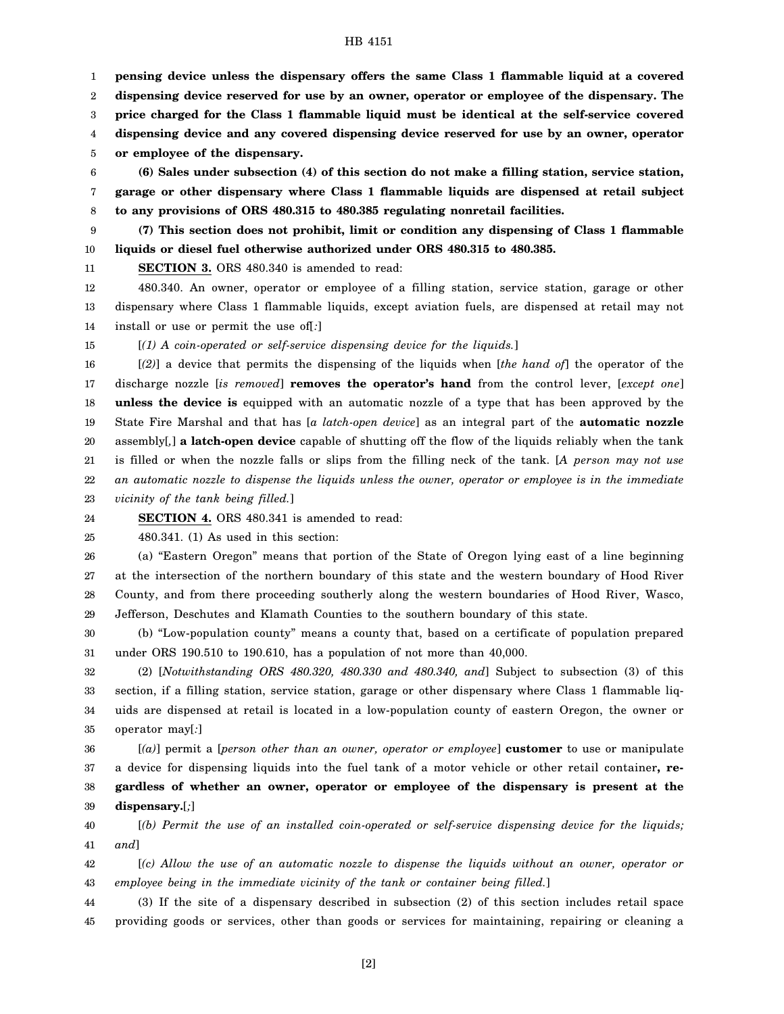1 2 3 4 5 **pensing device unless the dispensary offers the same Class 1 flammable liquid at a covered dispensing device reserved for use by an owner, operator or employee of the dispensary. The price charged for the Class 1 flammable liquid must be identical at the self-service covered dispensing device and any covered dispensing device reserved for use by an owner, operator or employee of the dispensary.**

6 7 8 **(6) Sales under subsection (4) of this section do not make a filling station, service station, garage or other dispensary where Class 1 flammable liquids are dispensed at retail subject to any provisions of ORS 480.315 to 480.385 regulating nonretail facilities.**

9 10 **(7) This section does not prohibit, limit or condition any dispensing of Class 1 flammable liquids or diesel fuel otherwise authorized under ORS 480.315 to 480.385.**

11

**SECTION 3.** ORS 480.340 is amended to read:

12 13 14 480.340. An owner, operator or employee of a filling station, service station, garage or other dispensary where Class 1 flammable liquids, except aviation fuels, are dispensed at retail may not install or use or permit the use of[*:*]

15 [*(1) A coin-operated or self-service dispensing device for the liquids.*]

16 17 18 19 20 21 22 23 [*(2)*] a device that permits the dispensing of the liquids when [*the hand of*] the operator of the discharge nozzle [*is removed*] **removes the operator's hand** from the control lever, [*except one*] **unless the device is** equipped with an automatic nozzle of a type that has been approved by the State Fire Marshal and that has [*a latch-open device*] as an integral part of the **automatic nozzle** assembly[*,*] **a latch-open device** capable of shutting off the flow of the liquids reliably when the tank is filled or when the nozzle falls or slips from the filling neck of the tank. [*A person may not use an automatic nozzle to dispense the liquids unless the owner, operator or employee is in the immediate vicinity of the tank being filled.*]

24 **SECTION 4.** ORS 480.341 is amended to read:

25 480.341. (1) As used in this section:

26 27 28 29 (a) "Eastern Oregon" means that portion of the State of Oregon lying east of a line beginning at the intersection of the northern boundary of this state and the western boundary of Hood River County, and from there proceeding southerly along the western boundaries of Hood River, Wasco, Jefferson, Deschutes and Klamath Counties to the southern boundary of this state.

30 31 (b) "Low-population county" means a county that, based on a certificate of population prepared under ORS 190.510 to 190.610, has a population of not more than 40,000.

32 33 34 35 (2) [*Notwithstanding ORS 480.320, 480.330 and 480.340, and*] Subject to subsection (3) of this section, if a filling station, service station, garage or other dispensary where Class 1 flammable liquids are dispensed at retail is located in a low-population county of eastern Oregon, the owner or operator may[*:*]

36 37 38 39 [*(a)*] permit a [*person other than an owner, operator or employee*] **customer** to use or manipulate a device for dispensing liquids into the fuel tank of a motor vehicle or other retail container**, regardless of whether an owner, operator or employee of the dispensary is present at the dispensary.**[*;*]

40 41 [*(b) Permit the use of an installed coin-operated or self-service dispensing device for the liquids; and*]

42 43 [*(c) Allow the use of an automatic nozzle to dispense the liquids without an owner, operator or employee being in the immediate vicinity of the tank or container being filled.*]

44 45 (3) If the site of a dispensary described in subsection (2) of this section includes retail space providing goods or services, other than goods or services for maintaining, repairing or cleaning a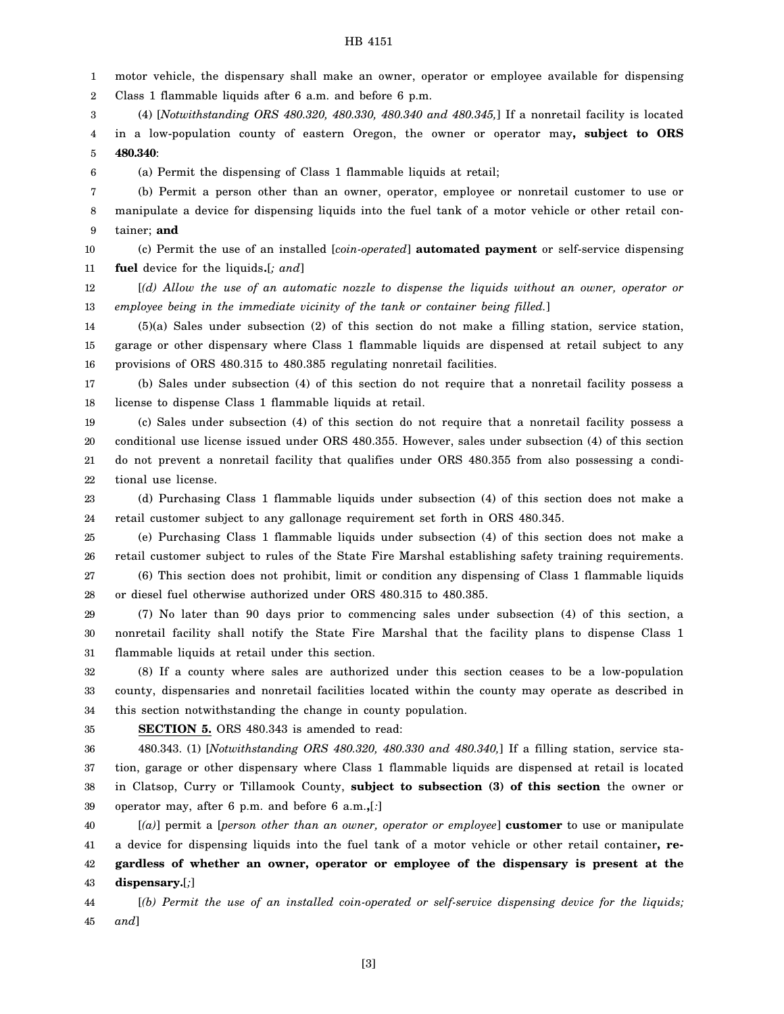1 2 3 4 5 6 7 8 9 10 motor vehicle, the dispensary shall make an owner, operator or employee available for dispensing Class 1 flammable liquids after 6 a.m. and before 6 p.m. (4) [*Notwithstanding ORS 480.320, 480.330, 480.340 and 480.345,*] If a nonretail facility is located in a low-population county of eastern Oregon, the owner or operator may**, subject to ORS 480.340**: (a) Permit the dispensing of Class 1 flammable liquids at retail; (b) Permit a person other than an owner, operator, employee or nonretail customer to use or manipulate a device for dispensing liquids into the fuel tank of a motor vehicle or other retail container; **and** (c) Permit the use of an installed [*coin-operated*] **automated payment** or self-service dispensing

11 **fuel** device for the liquids**.**[*; and*]

12 13 [*(d) Allow the use of an automatic nozzle to dispense the liquids without an owner, operator or employee being in the immediate vicinity of the tank or container being filled.*]

14 15 16 (5)(a) Sales under subsection (2) of this section do not make a filling station, service station, garage or other dispensary where Class 1 flammable liquids are dispensed at retail subject to any provisions of ORS 480.315 to 480.385 regulating nonretail facilities.

17 18 (b) Sales under subsection (4) of this section do not require that a nonretail facility possess a license to dispense Class 1 flammable liquids at retail.

19 20 21 22 (c) Sales under subsection (4) of this section do not require that a nonretail facility possess a conditional use license issued under ORS 480.355. However, sales under subsection (4) of this section do not prevent a nonretail facility that qualifies under ORS 480.355 from also possessing a conditional use license.

23 24 (d) Purchasing Class 1 flammable liquids under subsection (4) of this section does not make a retail customer subject to any gallonage requirement set forth in ORS 480.345.

25 26 27 (e) Purchasing Class 1 flammable liquids under subsection (4) of this section does not make a retail customer subject to rules of the State Fire Marshal establishing safety training requirements. (6) This section does not prohibit, limit or condition any dispensing of Class 1 flammable liquids

28 or diesel fuel otherwise authorized under ORS 480.315 to 480.385.

29 30 31 (7) No later than 90 days prior to commencing sales under subsection (4) of this section, a nonretail facility shall notify the State Fire Marshal that the facility plans to dispense Class 1 flammable liquids at retail under this section.

32 33 34 (8) If a county where sales are authorized under this section ceases to be a low-population county, dispensaries and nonretail facilities located within the county may operate as described in this section notwithstanding the change in county population.

35

#### **SECTION 5.** ORS 480.343 is amended to read:

36 37 38 39 480.343. (1) [*Notwithstanding ORS 480.320, 480.330 and 480.340,*] If a filling station, service station, garage or other dispensary where Class 1 flammable liquids are dispensed at retail is located in Clatsop, Curry or Tillamook County, **subject to subsection (3) of this section** the owner or operator may, after 6 p.m. and before 6 a.m.**,**[*:*]

40 41 42 43 [*(a)*] permit a [*person other than an owner, operator or employee*] **customer** to use or manipulate a device for dispensing liquids into the fuel tank of a motor vehicle or other retail container**, regardless of whether an owner, operator or employee of the dispensary is present at the dispensary.**[*;*]

44 45 [*(b) Permit the use of an installed coin-operated or self-service dispensing device for the liquids; and*]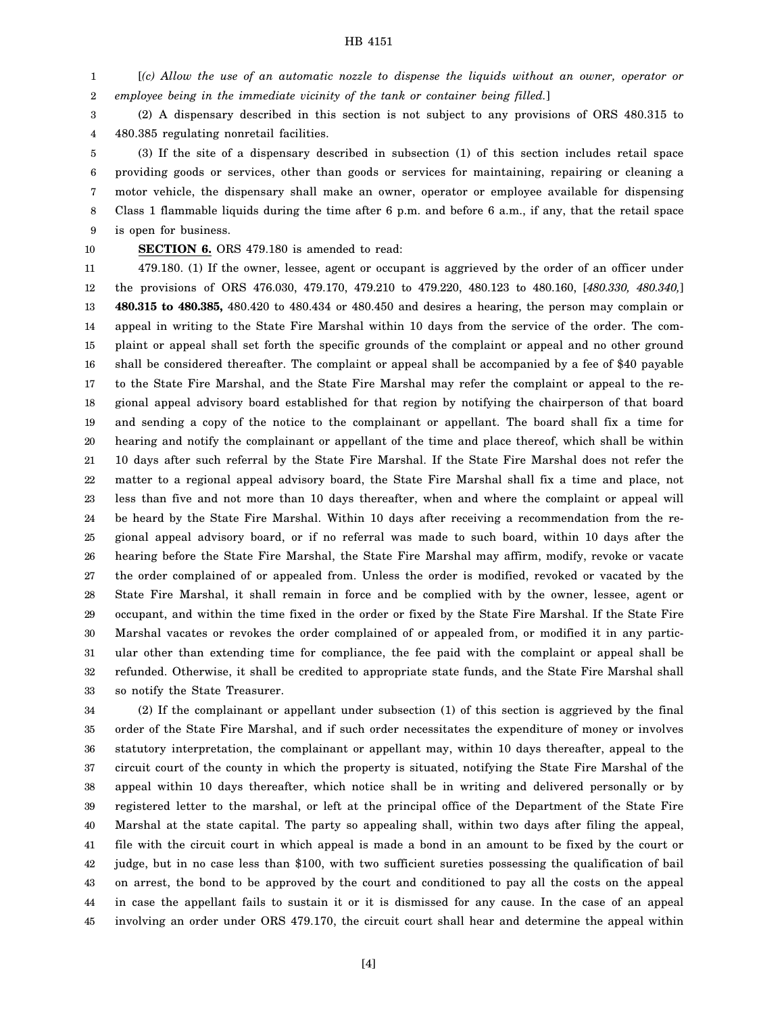1 2 [*(c) Allow the use of an automatic nozzle to dispense the liquids without an owner, operator or employee being in the immediate vicinity of the tank or container being filled.*]

3 4 (2) A dispensary described in this section is not subject to any provisions of ORS 480.315 to 480.385 regulating nonretail facilities.

5 6 7 8 9 (3) If the site of a dispensary described in subsection (1) of this section includes retail space providing goods or services, other than goods or services for maintaining, repairing or cleaning a motor vehicle, the dispensary shall make an owner, operator or employee available for dispensing Class 1 flammable liquids during the time after 6 p.m. and before 6 a.m., if any, that the retail space is open for business.

10

**SECTION 6.** ORS 479.180 is amended to read:

11 12 13 14 15 16 17 18 19 20 21 22 23 24 25 26 27 28 29 30 31 32 33 479.180. (1) If the owner, lessee, agent or occupant is aggrieved by the order of an officer under the provisions of ORS 476.030, 479.170, 479.210 to 479.220, 480.123 to 480.160, [*480.330, 480.340,*] **480.315 to 480.385,** 480.420 to 480.434 or 480.450 and desires a hearing, the person may complain or appeal in writing to the State Fire Marshal within 10 days from the service of the order. The complaint or appeal shall set forth the specific grounds of the complaint or appeal and no other ground shall be considered thereafter. The complaint or appeal shall be accompanied by a fee of \$40 payable to the State Fire Marshal, and the State Fire Marshal may refer the complaint or appeal to the regional appeal advisory board established for that region by notifying the chairperson of that board and sending a copy of the notice to the complainant or appellant. The board shall fix a time for hearing and notify the complainant or appellant of the time and place thereof, which shall be within 10 days after such referral by the State Fire Marshal. If the State Fire Marshal does not refer the matter to a regional appeal advisory board, the State Fire Marshal shall fix a time and place, not less than five and not more than 10 days thereafter, when and where the complaint or appeal will be heard by the State Fire Marshal. Within 10 days after receiving a recommendation from the regional appeal advisory board, or if no referral was made to such board, within 10 days after the hearing before the State Fire Marshal, the State Fire Marshal may affirm, modify, revoke or vacate the order complained of or appealed from. Unless the order is modified, revoked or vacated by the State Fire Marshal, it shall remain in force and be complied with by the owner, lessee, agent or occupant, and within the time fixed in the order or fixed by the State Fire Marshal. If the State Fire Marshal vacates or revokes the order complained of or appealed from, or modified it in any particular other than extending time for compliance, the fee paid with the complaint or appeal shall be refunded. Otherwise, it shall be credited to appropriate state funds, and the State Fire Marshal shall so notify the State Treasurer.

34 35 36 37 38 39 40 41 42 43 44 45 (2) If the complainant or appellant under subsection (1) of this section is aggrieved by the final order of the State Fire Marshal, and if such order necessitates the expenditure of money or involves statutory interpretation, the complainant or appellant may, within 10 days thereafter, appeal to the circuit court of the county in which the property is situated, notifying the State Fire Marshal of the appeal within 10 days thereafter, which notice shall be in writing and delivered personally or by registered letter to the marshal, or left at the principal office of the Department of the State Fire Marshal at the state capital. The party so appealing shall, within two days after filing the appeal, file with the circuit court in which appeal is made a bond in an amount to be fixed by the court or judge, but in no case less than \$100, with two sufficient sureties possessing the qualification of bail on arrest, the bond to be approved by the court and conditioned to pay all the costs on the appeal in case the appellant fails to sustain it or it is dismissed for any cause. In the case of an appeal involving an order under ORS 479.170, the circuit court shall hear and determine the appeal within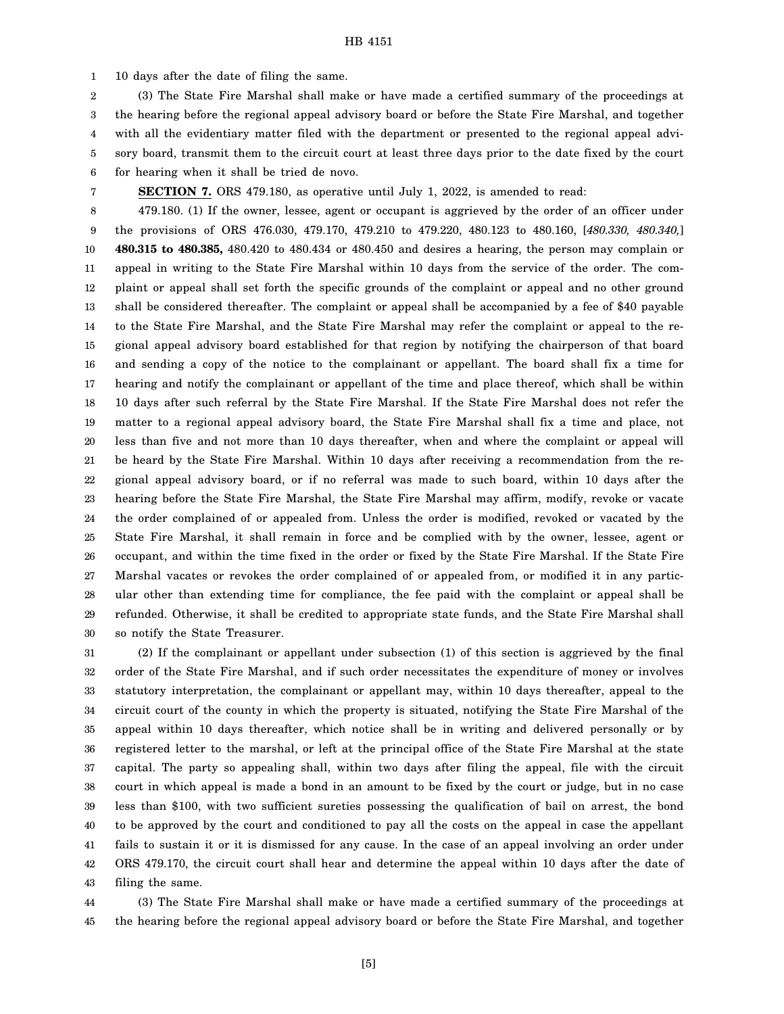1 10 days after the date of filing the same.

2 3 4 5 6 (3) The State Fire Marshal shall make or have made a certified summary of the proceedings at the hearing before the regional appeal advisory board or before the State Fire Marshal, and together with all the evidentiary matter filed with the department or presented to the regional appeal advisory board, transmit them to the circuit court at least three days prior to the date fixed by the court for hearing when it shall be tried de novo.

7

**SECTION 7.** ORS 479.180, as operative until July 1, 2022, is amended to read:

8 9 10 11 12 13 14 15 16 17 18 19 20 21 22 23 24 25 26 27 28 29 30 479.180. (1) If the owner, lessee, agent or occupant is aggrieved by the order of an officer under the provisions of ORS 476.030, 479.170, 479.210 to 479.220, 480.123 to 480.160, [*480.330, 480.340,*] **480.315 to 480.385,** 480.420 to 480.434 or 480.450 and desires a hearing, the person may complain or appeal in writing to the State Fire Marshal within 10 days from the service of the order. The complaint or appeal shall set forth the specific grounds of the complaint or appeal and no other ground shall be considered thereafter. The complaint or appeal shall be accompanied by a fee of \$40 payable to the State Fire Marshal, and the State Fire Marshal may refer the complaint or appeal to the regional appeal advisory board established for that region by notifying the chairperson of that board and sending a copy of the notice to the complainant or appellant. The board shall fix a time for hearing and notify the complainant or appellant of the time and place thereof, which shall be within 10 days after such referral by the State Fire Marshal. If the State Fire Marshal does not refer the matter to a regional appeal advisory board, the State Fire Marshal shall fix a time and place, not less than five and not more than 10 days thereafter, when and where the complaint or appeal will be heard by the State Fire Marshal. Within 10 days after receiving a recommendation from the regional appeal advisory board, or if no referral was made to such board, within 10 days after the hearing before the State Fire Marshal, the State Fire Marshal may affirm, modify, revoke or vacate the order complained of or appealed from. Unless the order is modified, revoked or vacated by the State Fire Marshal, it shall remain in force and be complied with by the owner, lessee, agent or occupant, and within the time fixed in the order or fixed by the State Fire Marshal. If the State Fire Marshal vacates or revokes the order complained of or appealed from, or modified it in any particular other than extending time for compliance, the fee paid with the complaint or appeal shall be refunded. Otherwise, it shall be credited to appropriate state funds, and the State Fire Marshal shall so notify the State Treasurer.

31 32 33 34 35 36 37 38 39 40 41 42 43 (2) If the complainant or appellant under subsection (1) of this section is aggrieved by the final order of the State Fire Marshal, and if such order necessitates the expenditure of money or involves statutory interpretation, the complainant or appellant may, within 10 days thereafter, appeal to the circuit court of the county in which the property is situated, notifying the State Fire Marshal of the appeal within 10 days thereafter, which notice shall be in writing and delivered personally or by registered letter to the marshal, or left at the principal office of the State Fire Marshal at the state capital. The party so appealing shall, within two days after filing the appeal, file with the circuit court in which appeal is made a bond in an amount to be fixed by the court or judge, but in no case less than \$100, with two sufficient sureties possessing the qualification of bail on arrest, the bond to be approved by the court and conditioned to pay all the costs on the appeal in case the appellant fails to sustain it or it is dismissed for any cause. In the case of an appeal involving an order under ORS 479.170, the circuit court shall hear and determine the appeal within 10 days after the date of filing the same.

44 45 (3) The State Fire Marshal shall make or have made a certified summary of the proceedings at the hearing before the regional appeal advisory board or before the State Fire Marshal, and together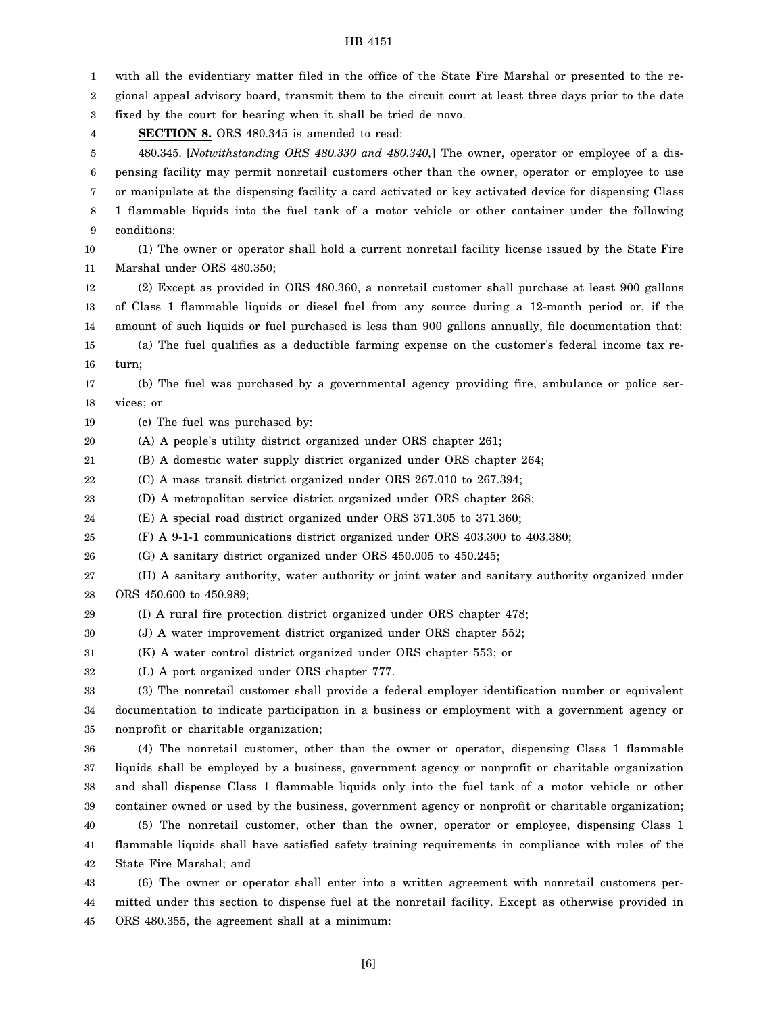1 2 3 4 5 6 7 8 9 10 11 12 13 14 15 16 17 18 19 20 21 22 23 24 25 26 27 28 29 30 31 32 33 34 35 36 37 38 39 40 41 42 43 44 with all the evidentiary matter filed in the office of the State Fire Marshal or presented to the regional appeal advisory board, transmit them to the circuit court at least three days prior to the date fixed by the court for hearing when it shall be tried de novo. **SECTION 8.** ORS 480.345 is amended to read: 480.345. [*Notwithstanding ORS 480.330 and 480.340,*] The owner, operator or employee of a dispensing facility may permit nonretail customers other than the owner, operator or employee to use or manipulate at the dispensing facility a card activated or key activated device for dispensing Class 1 flammable liquids into the fuel tank of a motor vehicle or other container under the following conditions: (1) The owner or operator shall hold a current nonretail facility license issued by the State Fire Marshal under ORS 480.350; (2) Except as provided in ORS 480.360, a nonretail customer shall purchase at least 900 gallons of Class 1 flammable liquids or diesel fuel from any source during a 12-month period or, if the amount of such liquids or fuel purchased is less than 900 gallons annually, file documentation that: (a) The fuel qualifies as a deductible farming expense on the customer's federal income tax return; (b) The fuel was purchased by a governmental agency providing fire, ambulance or police services; or (c) The fuel was purchased by: (A) A people's utility district organized under ORS chapter 261; (B) A domestic water supply district organized under ORS chapter 264; (C) A mass transit district organized under ORS 267.010 to 267.394; (D) A metropolitan service district organized under ORS chapter 268; (E) A special road district organized under ORS 371.305 to 371.360; (F) A 9-1-1 communications district organized under ORS 403.300 to 403.380; (G) A sanitary district organized under ORS 450.005 to 450.245; (H) A sanitary authority, water authority or joint water and sanitary authority organized under ORS 450.600 to 450.989; (I) A rural fire protection district organized under ORS chapter 478; (J) A water improvement district organized under ORS chapter 552; (K) A water control district organized under ORS chapter 553; or (L) A port organized under ORS chapter 777. (3) The nonretail customer shall provide a federal employer identification number or equivalent documentation to indicate participation in a business or employment with a government agency or nonprofit or charitable organization; (4) The nonretail customer, other than the owner or operator, dispensing Class 1 flammable liquids shall be employed by a business, government agency or nonprofit or charitable organization and shall dispense Class 1 flammable liquids only into the fuel tank of a motor vehicle or other container owned or used by the business, government agency or nonprofit or charitable organization; (5) The nonretail customer, other than the owner, operator or employee, dispensing Class 1 flammable liquids shall have satisfied safety training requirements in compliance with rules of the State Fire Marshal; and (6) The owner or operator shall enter into a written agreement with nonretail customers permitted under this section to dispense fuel at the nonretail facility. Except as otherwise provided in

45 ORS 480.355, the agreement shall at a minimum: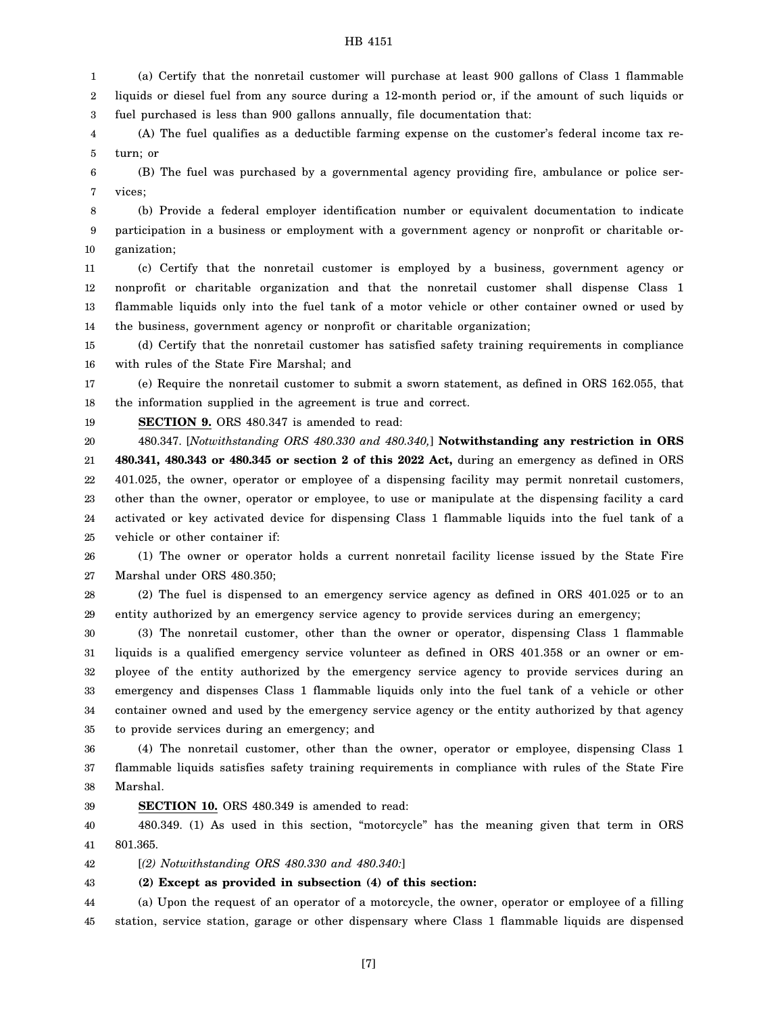1 2 3 (a) Certify that the nonretail customer will purchase at least 900 gallons of Class 1 flammable liquids or diesel fuel from any source during a 12-month period or, if the amount of such liquids or fuel purchased is less than 900 gallons annually, file documentation that:

4 5 (A) The fuel qualifies as a deductible farming expense on the customer's federal income tax return; or

6 7 (B) The fuel was purchased by a governmental agency providing fire, ambulance or police services;

8 9 10 (b) Provide a federal employer identification number or equivalent documentation to indicate participation in a business or employment with a government agency or nonprofit or charitable organization;

11 12 13 14 (c) Certify that the nonretail customer is employed by a business, government agency or nonprofit or charitable organization and that the nonretail customer shall dispense Class 1 flammable liquids only into the fuel tank of a motor vehicle or other container owned or used by the business, government agency or nonprofit or charitable organization;

15 16 (d) Certify that the nonretail customer has satisfied safety training requirements in compliance with rules of the State Fire Marshal; and

17 18 (e) Require the nonretail customer to submit a sworn statement, as defined in ORS 162.055, that the information supplied in the agreement is true and correct.

19 **SECTION 9.** ORS 480.347 is amended to read:

20 21 22 23 24 25 480.347. [*Notwithstanding ORS 480.330 and 480.340,*] **Notwithstanding any restriction in ORS 480.341, 480.343 or 480.345 or section 2 of this 2022 Act,** during an emergency as defined in ORS 401.025, the owner, operator or employee of a dispensing facility may permit nonretail customers, other than the owner, operator or employee, to use or manipulate at the dispensing facility a card activated or key activated device for dispensing Class 1 flammable liquids into the fuel tank of a vehicle or other container if:

26 27 (1) The owner or operator holds a current nonretail facility license issued by the State Fire Marshal under ORS 480.350;

28 29 (2) The fuel is dispensed to an emergency service agency as defined in ORS 401.025 or to an entity authorized by an emergency service agency to provide services during an emergency;

30 31 32 33 34 35 (3) The nonretail customer, other than the owner or operator, dispensing Class 1 flammable liquids is a qualified emergency service volunteer as defined in ORS 401.358 or an owner or employee of the entity authorized by the emergency service agency to provide services during an emergency and dispenses Class 1 flammable liquids only into the fuel tank of a vehicle or other container owned and used by the emergency service agency or the entity authorized by that agency to provide services during an emergency; and

36 37 38 (4) The nonretail customer, other than the owner, operator or employee, dispensing Class 1 flammable liquids satisfies safety training requirements in compliance with rules of the State Fire Marshal.

39 **SECTION 10.** ORS 480.349 is amended to read:

40 41 480.349. (1) As used in this section, "motorcycle" has the meaning given that term in ORS 801.365.

42 [*(2) Notwithstanding ORS 480.330 and 480.340:*]

43 **(2) Except as provided in subsection (4) of this section:**

44 45 (a) Upon the request of an operator of a motorcycle, the owner, operator or employee of a filling station, service station, garage or other dispensary where Class 1 flammable liquids are dispensed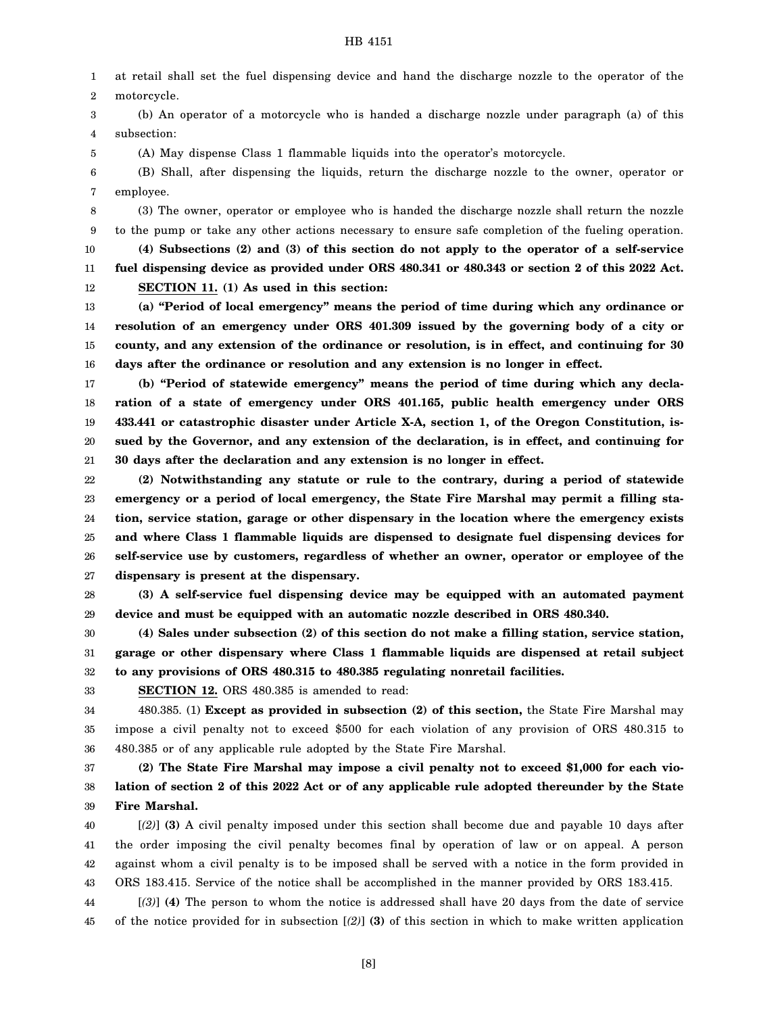1 2 at retail shall set the fuel dispensing device and hand the discharge nozzle to the operator of the motorcycle.

3 4 (b) An operator of a motorcycle who is handed a discharge nozzle under paragraph (a) of this subsection:

5 (A) May dispense Class 1 flammable liquids into the operator's motorcycle.

6 7 (B) Shall, after dispensing the liquids, return the discharge nozzle to the owner, operator or employee.

8 9 10 11 (3) The owner, operator or employee who is handed the discharge nozzle shall return the nozzle to the pump or take any other actions necessary to ensure safe completion of the fueling operation. **(4) Subsections (2) and (3) of this section do not apply to the operator of a self-service fuel dispensing device as provided under ORS 480.341 or 480.343 or section 2 of this 2022 Act.**

**SECTION 11. (1) As used in this section:**

13 14 15 16 **(a) "Period of local emergency" means the period of time during which any ordinance or resolution of an emergency under ORS 401.309 issued by the governing body of a city or county, and any extension of the ordinance or resolution, is in effect, and continuing for 30 days after the ordinance or resolution and any extension is no longer in effect.**

17 18 19 20 21 **(b) "Period of statewide emergency" means the period of time during which any declaration of a state of emergency under ORS 401.165, public health emergency under ORS 433.441 or catastrophic disaster under Article X-A, section 1, of the Oregon Constitution, issued by the Governor, and any extension of the declaration, is in effect, and continuing for 30 days after the declaration and any extension is no longer in effect.**

22 23 24 25 26 27 **(2) Notwithstanding any statute or rule to the contrary, during a period of statewide emergency or a period of local emergency, the State Fire Marshal may permit a filling station, service station, garage or other dispensary in the location where the emergency exists and where Class 1 flammable liquids are dispensed to designate fuel dispensing devices for self-service use by customers, regardless of whether an owner, operator or employee of the dispensary is present at the dispensary.**

28 29 **(3) A self-service fuel dispensing device may be equipped with an automated payment device and must be equipped with an automatic nozzle described in ORS 480.340.**

30 31 32 **(4) Sales under subsection (2) of this section do not make a filling station, service station, garage or other dispensary where Class 1 flammable liquids are dispensed at retail subject to any provisions of ORS 480.315 to 480.385 regulating nonretail facilities.**

33

12

**SECTION 12.** ORS 480.385 is amended to read:

34 35 36 480.385. (1) **Except as provided in subsection (2) of this section,** the State Fire Marshal may impose a civil penalty not to exceed \$500 for each violation of any provision of ORS 480.315 to 480.385 or of any applicable rule adopted by the State Fire Marshal.

37 38 39 **(2) The State Fire Marshal may impose a civil penalty not to exceed \$1,000 for each violation of section 2 of this 2022 Act or of any applicable rule adopted thereunder by the State Fire Marshal.**

40 41 42 43 [*(2)*] **(3)** A civil penalty imposed under this section shall become due and payable 10 days after the order imposing the civil penalty becomes final by operation of law or on appeal. A person against whom a civil penalty is to be imposed shall be served with a notice in the form provided in ORS 183.415. Service of the notice shall be accomplished in the manner provided by ORS 183.415.

44 45 [*(3)*] **(4)** The person to whom the notice is addressed shall have 20 days from the date of service of the notice provided for in subsection [*(2)*] **(3)** of this section in which to make written application